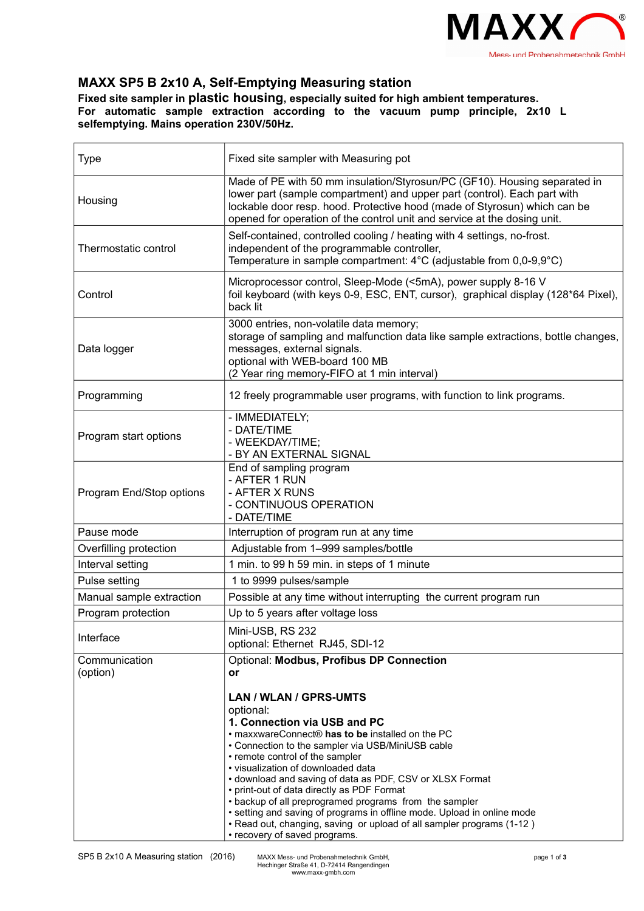

## **MAXX SP5 B 2x10 A, Self-Emptying Measuring station**

**Fixed site sampler in plastic housing, especially suited for high ambient temperatures. For automatic sample extraction according to the vacuum pump principle, 2x10 L selfemptying. Mains operation 230V/50Hz.**

| <b>Type</b>               | Fixed site sampler with Measuring pot                                                                                                                                                                                                                                                                                                                                                                                                                                                                                                                                                                          |
|---------------------------|----------------------------------------------------------------------------------------------------------------------------------------------------------------------------------------------------------------------------------------------------------------------------------------------------------------------------------------------------------------------------------------------------------------------------------------------------------------------------------------------------------------------------------------------------------------------------------------------------------------|
| Housing                   | Made of PE with 50 mm insulation/Styrosun/PC (GF10). Housing separated in<br>lower part (sample compartment) and upper part (control). Each part with<br>lockable door resp. hood. Protective hood (made of Styrosun) which can be<br>opened for operation of the control unit and service at the dosing unit.                                                                                                                                                                                                                                                                                                 |
| Thermostatic control      | Self-contained, controlled cooling / heating with 4 settings, no-frost.<br>independent of the programmable controller,<br>Temperature in sample compartment: 4°C (adjustable from 0,0-9,9°C)                                                                                                                                                                                                                                                                                                                                                                                                                   |
| Control                   | Microprocessor control, Sleep-Mode (<5mA), power supply 8-16 V<br>foil keyboard (with keys 0-9, ESC, ENT, cursor), graphical display (128*64 Pixel),<br>back lit                                                                                                                                                                                                                                                                                                                                                                                                                                               |
| Data logger               | 3000 entries, non-volatile data memory;<br>storage of sampling and malfunction data like sample extractions, bottle changes,<br>messages, external signals.<br>optional with WEB-board 100 MB<br>(2 Year ring memory-FIFO at 1 min interval)                                                                                                                                                                                                                                                                                                                                                                   |
| Programming               | 12 freely programmable user programs, with function to link programs.                                                                                                                                                                                                                                                                                                                                                                                                                                                                                                                                          |
| Program start options     | - IMMEDIATELY;<br>- DATE/TIME<br>- WEEKDAY/TIME;<br>- BY AN EXTERNAL SIGNAL                                                                                                                                                                                                                                                                                                                                                                                                                                                                                                                                    |
| Program End/Stop options  | End of sampling program<br>- AFTER 1 RUN<br>- AFTER X RUNS<br>- CONTINUOUS OPERATION<br>- DATE/TIME                                                                                                                                                                                                                                                                                                                                                                                                                                                                                                            |
| Pause mode                | Interruption of program run at any time                                                                                                                                                                                                                                                                                                                                                                                                                                                                                                                                                                        |
| Overfilling protection    | Adjustable from 1-999 samples/bottle                                                                                                                                                                                                                                                                                                                                                                                                                                                                                                                                                                           |
| Interval setting          | 1 min. to 99 h 59 min. in steps of 1 minute                                                                                                                                                                                                                                                                                                                                                                                                                                                                                                                                                                    |
| Pulse setting             | 1 to 9999 pulses/sample                                                                                                                                                                                                                                                                                                                                                                                                                                                                                                                                                                                        |
| Manual sample extraction  | Possible at any time without interrupting the current program run                                                                                                                                                                                                                                                                                                                                                                                                                                                                                                                                              |
| Program protection        | Up to 5 years after voltage loss                                                                                                                                                                                                                                                                                                                                                                                                                                                                                                                                                                               |
| Interface                 | Mini-USB, RS 232<br>optional: Ethernet RJ45, SDI-12                                                                                                                                                                                                                                                                                                                                                                                                                                                                                                                                                            |
| Communication<br>(option) | Optional: Modbus, Profibus DP Connection<br>or                                                                                                                                                                                                                                                                                                                                                                                                                                                                                                                                                                 |
|                           | LAN / WLAN / GPRS-UMTS<br>optional:<br>1. Connection via USB and PC<br>. maxxwareConnect® has to be installed on the PC<br>• Connection to the sampler via USB/MiniUSB cable<br>• remote control of the sampler<br>· visualization of downloaded data<br>• download and saving of data as PDF, CSV or XLSX Format<br>• print-out of data directly as PDF Format<br>• backup of all preprogramed programs from the sampler<br>• setting and saving of programs in offline mode. Upload in online mode<br>• Read out, changing, saving or upload of all sampler programs (1-12)<br>• recovery of saved programs. |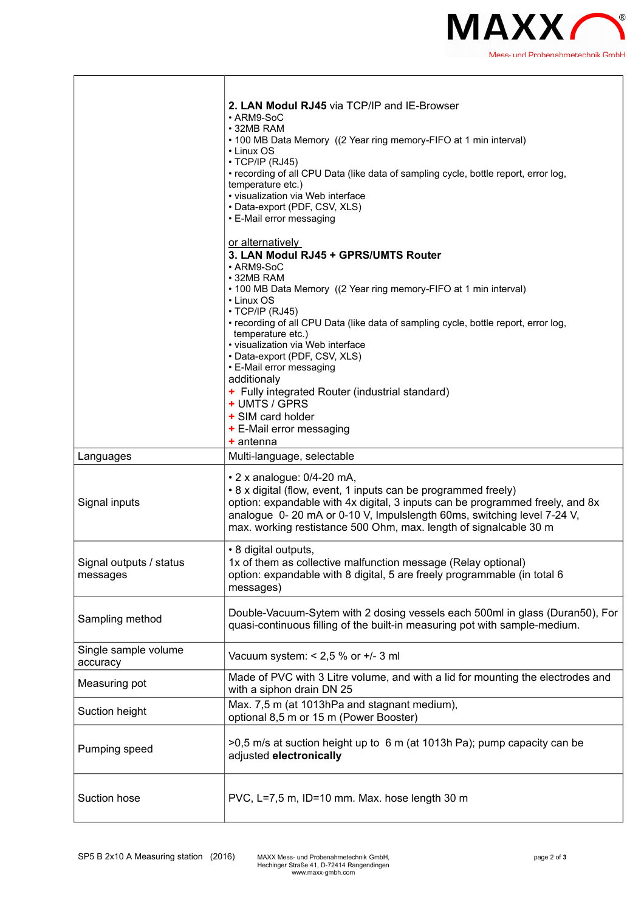

|                                     | 2. LAN Modul RJ45 via TCP/IP and IE-Browser<br>• ARM9-SoC<br>• 32MB RAM<br>• 100 MB Data Memory ((2 Year ring memory-FIFO at 1 min interval)<br>• Linux OS<br>$\cdot$ TCP/IP (RJ45)<br>• recording of all CPU Data (like data of sampling cycle, bottle report, error log,<br>temperature etc.)                                                                                                                                                                                                                                                             |
|-------------------------------------|-------------------------------------------------------------------------------------------------------------------------------------------------------------------------------------------------------------------------------------------------------------------------------------------------------------------------------------------------------------------------------------------------------------------------------------------------------------------------------------------------------------------------------------------------------------|
|                                     | • visualization via Web interface<br>• Data-export (PDF, CSV, XLS)<br>• E-Mail error messaging                                                                                                                                                                                                                                                                                                                                                                                                                                                              |
|                                     | or alternatively<br>3. LAN Modul RJ45 + GPRS/UMTS Router<br>• ARM9-SoC<br>• 32MB RAM<br>• 100 MB Data Memory ((2 Year ring memory-FIFO at 1 min interval)<br>• Linux OS<br>· TCP/IP (RJ45)<br>• recording of all CPU Data (like data of sampling cycle, bottle report, error log,<br>temperature etc.)<br>• visualization via Web interface<br>• Data-export (PDF, CSV, XLS)<br>• E-Mail error messaging<br>additionaly<br>+ Fully integrated Router (industrial standard)<br>+ UMTS / GPRS<br>+ SIM card holder<br>+ E-Mail error messaging<br>$+$ antenna |
| Languages                           | Multi-language, selectable                                                                                                                                                                                                                                                                                                                                                                                                                                                                                                                                  |
| Signal inputs                       | $\cdot$ 2 x analogue: 0/4-20 mA,<br>• 8 x digital (flow, event, 1 inputs can be programmed freely)<br>option: expandable with 4x digital, 3 inputs can be programmed freely, and 8x<br>analogue 0-20 mA or 0-10 V, Impulslength 60ms, switching level 7-24 V,<br>max. working restistance 500 Ohm, max. length of signalcable 30 m                                                                                                                                                                                                                          |
| Signal outputs / status<br>messages | • 8 digital outputs,<br>1x of them as collective malfunction message (Relay optional)<br>option: expandable with 8 digital, 5 are freely programmable (in total 6<br>messages)                                                                                                                                                                                                                                                                                                                                                                              |
| Sampling method                     | Double-Vacuum-Sytem with 2 dosing vessels each 500ml in glass (Duran50), For<br>quasi-continuous filling of the built-in measuring pot with sample-medium.                                                                                                                                                                                                                                                                                                                                                                                                  |
| Single sample volume<br>accuracy    | Vacuum system: $< 2.5$ % or $+/- 3$ ml                                                                                                                                                                                                                                                                                                                                                                                                                                                                                                                      |
| Measuring pot                       | Made of PVC with 3 Litre volume, and with a lid for mounting the electrodes and<br>with a siphon drain DN 25                                                                                                                                                                                                                                                                                                                                                                                                                                                |
| Suction height                      | Max. 7,5 m (at 1013hPa and stagnant medium),<br>optional 8,5 m or 15 m (Power Booster)                                                                                                                                                                                                                                                                                                                                                                                                                                                                      |
| Pumping speed                       | >0,5 m/s at suction height up to 6 m (at 1013h Pa); pump capacity can be<br>adjusted electronically                                                                                                                                                                                                                                                                                                                                                                                                                                                         |
| Suction hose                        | PVC, L=7,5 m, ID=10 mm. Max. hose length 30 m                                                                                                                                                                                                                                                                                                                                                                                                                                                                                                               |